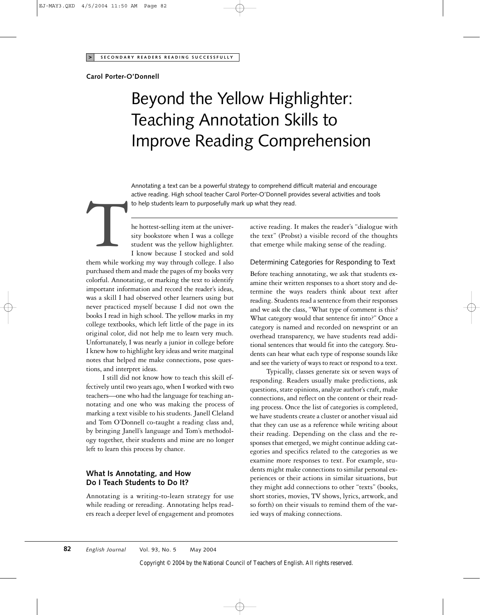### **Carol Porter-O'Donnell**

# Beyond the Yellow Highlighter: Teaching Annotation Skills to Improve Reading Comprehension

Annotating a text can be a powerful strategy to comprehend difficult material and encourage active reading. High school teacher Carol Porter-O'Donnell provides several activities and tools

he hottest-selling item at the university bookstore when I was a college student was the yellow highlighter. active reading. High school teacher Carol Porter-O'Donnell pro<br>
to help students learn to purposefully mark up what they read.<br>
he hottest-selling item at the univer-<br>
stity bookstore when I was a college the text" (Probs<br>

I know because I stocked and sold them while working my way through college. I also purchased them and made the pages of my books very colorful. Annotating, or marking the text to identify important information and record the reader's ideas, was a skill I had observed other learners using but never practiced myself because I did not own the books I read in high school. The yellow marks in my college textbooks, which left little of the page in its original color, did not help me to learn very much. Unfortunately, I was nearly a junior in college before I knew how to highlight key ideas and write marginal notes that helped me make connections, pose questions, and interpret ideas.

I still did not know how to teach this skill effectively until two years ago, when I worked with two teachers—one who had the language for teaching annotating and one who was making the process of marking a text visible to his students. Janell Cleland and Tom O'Donnell co-taught a reading class and, by bringing Janell's language and Tom's methodology together, their students and mine are no longer left to learn this process by chance.

# **What Is Annotating, and How Do I Teach Students to Do It?**

Annotating is a writing-to-learn strategy for use while reading or rereading. Annotating helps readers reach a deeper level of engagement and promotes active reading. It makes the reader's "dialogue with the text" (Probst) a visible record of the thoughts that emerge while making sense of the reading.

## Determining Categories for Responding to Text

Before teaching annotating, we ask that students examine their written responses to a short story and determine the ways readers think about text after reading. Students read a sentence from their responses and we ask the class, "What type of comment is this? What category would that sentence fit into?" Once a category is named and recorded on newsprint or an overhead transparency, we have students read additional sentences that would fit into the category. Students can hear what each type of response sounds like and see the variety of ways to react or respond to a text.

Typically, classes generate six or seven ways of responding. Readers usually make predictions, ask questions, state opinions, analyze author's craft, make connections, and reflect on the content or their reading process. Once the list of categories is completed, we have students create a cluster or another visual aid that they can use as a reference while writing about their reading. Depending on the class and the responses that emerged, we might continue adding categories and specifics related to the categories as we examine more responses to text. For example, students might make connections to similar personal experiences or their actions in similar situations, but they might add connections to other "texts" (books, short stories, movies, TV shows, lyrics, artwork, and so forth) on their visuals to remind them of the varied ways of making connections.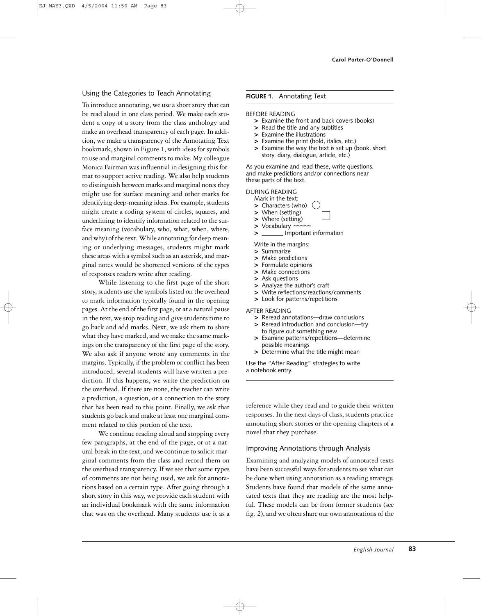### Using the Categories to Teach Annotating

To introduce annotating, we use a short story that can be read aloud in one class period. We make each student a copy of a story from the class anthology and make an overhead transparency of each page. In addition, we make a transparency of the Annotating Text bookmark, shown in Figure 1, with ideas for symbols to use and marginal comments to make. My colleague Monica Fairman was influential in designing this format to support active reading. We also help students to distinguish between marks and marginal notes they might use for surface meaning and other marks for identifying deep-meaning ideas. For example, students might create a coding system of circles, squares, and underlining to identify information related to the surface meaning (vocabulary, who, what, when, where, and why) of the text. While annotating for deep meaning or underlying messages, students might mark these areas with a symbol such as an asterisk, and marginal notes would be shortened versions of the types of responses readers write after reading.

While listening to the first page of the short story, students use the symbols listed on the overhead to mark information typically found in the opening pages. At the end of the first page, or at a natural pause in the text, we stop reading and give students time to go back and add marks. Next, we ask them to share what they have marked, and we make the same markings on the transparency of the first page of the story. We also ask if anyone wrote any comments in the margins. Typically, if the problem or conflict has been introduced, several students will have written a prediction. If this happens, we write the prediction on the overhead. If there are none, the teacher can write a prediction, a question, or a connection to the story that has been read to this point. Finally, we ask that students go back and make at least one marginal comment related to this portion of the text.

We continue reading aloud and stopping every few paragraphs, at the end of the page, or at a natural break in the text, and we continue to solicit marginal comments from the class and record them on the overhead transparency. If we see that some types of comments are not being used, we ask for annotations based on a certain type. After going through a short story in this way, we provide each student with an individual bookmark with the same information that was on the overhead. Many students use it as a

#### **FIGURE 1.** Annotating Text

#### BEFORE READING

- **>** Examine the front and back covers (books)
- **>** Read the title and any subtitles
- **>** Examine the illustrations
- **>** Examine the print (bold, italics, etc.)
- **>** Examine the way the text is set up (book, short story, diary, dialogue, article, etc.)

As you examine and read these, write questions, and make predictions and/or connections near these parts of the text.

#### DURING READING

Mark in the text:

- **>** Characters (who)
- **>** When (setting)
- **>** Where (setting)
- 
- > Important information

Write in the margins:

- **>** Summarize
- **>** Make predictions
- **>** Formulate opinions
- **>** Make connections
- **>** Ask questions
- **>** Analyze the author's craft
- **>** Write reflections/reactions/comments
- **>** Look for patterns/repetitions

AFTER READING

- **>** Reread annotations—draw conclusions
- **>** Reread introduction and conclusion—try to figure out something new
- **>** Examine patterns/repetitions—determine possible meanings
- **>** Determine what the title might mean

Use the "After Reading" strategies to write a notebook entry.

reference while they read and to guide their written responses. In the next days of class, students practice annotating short stories or the opening chapters of a novel that they purchase.

#### Improving Annotations through Analysis

Examining and analyzing models of annotated texts have been successful ways for students to see what can be done when using annotation as a reading strategy. Students have found that models of the same annotated texts that they are reading are the most helpful. These models can be from former students (see fig. 2), and we often share our own annotations of the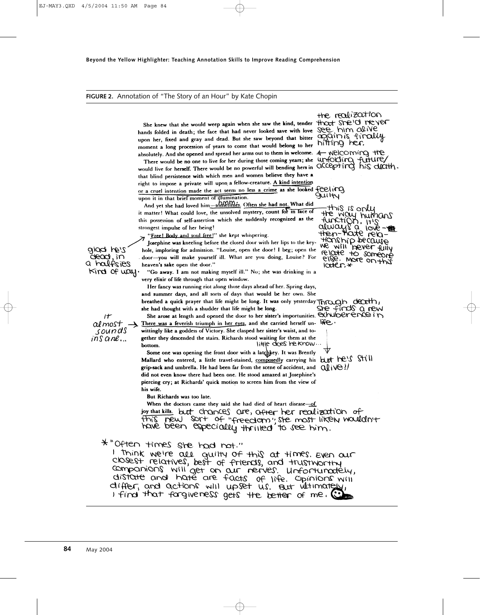#### **FIGURE 2.** Annotation of "The Story of an Hour" by Kate Chopin

She knew that she would weep again when she saw the kind, tender hands folded in death; the face that had never looked save with love upon her, fixed and gray and dead. But she saw beyond that bitter moment a long procession of years to come that would belong to her absolutely. And she opened and spread her arms out to them in welcome.

There would be no one to live for her during those coming years; she unfolding furture/<br>would live for herself. There would be no powerful will bending hers in OCCEPT in this ductify. that blind persistence with which men and women believe they have a right to impose a private will upon a fellow-creature. A kind intention or a cruel intention made the act seem no less a crime as she looked feeling upon it in that brief moment of illumination.

And yet she had loved him-somellines. Often she had not. What did it matter! What could love, the unsolved mystery, count for in face of this possession of self-assertion which she suddenly recognized as the strongest impulse of her being!

"Free! Body and soul free!" she kept whispering.

Josephine was kneeling before the closed door with her lips to the keyhole, imploring for admission. "Louise, open the door! I beg; open the door-you will make yourself ill. What are you doing, Louise? For heaven's sake open the door."

"Go away. I am not making myself ill." No; she was drinking in a very elixir of life through that open window.

Her fancy was running riot along those days ahead of her. Spring days, and summer days, and all sorts of days that would be her own. She breathed a quick prayer that life might be long. It was only yesterday Through death, sie finds a new she had thought with a shudder that life might be long. She arose at length and opened the door to her sister's importunities. EXhuberence in There was a feverish triumph in her eyes, and she carried herself un-

wittingly like a goddess of Victory. She clasped her sister's waist, and together they descended the stairs. Richards stood waiting for them at the little does be know... bottom.

Some one was opening the front door with a latchkey. It was Brently Mallard who entered, a little travel-stained, composedly carrying his but he's SHIII grip-sack and umbrella. He had been far from the scene of accident, and  $Q\rightarrow Q$ did not even know there had been one. He stood amazed at Josephine's piercing cry; at Richards' quick motion to screen him from the view of his wife.

But Richards was too late.

When the doctors came they said she had died of heart disease-of joy that kills. but chances are, after her realization of this new sort of "freedom"; she most likely wouldn't

\*"Often times she had not."

I think we're all guitty of this at times. Even our closest relatives, best of friends, and trustworthy companions will get on our nerves. Unfortunately, distance and have are facts of life. Opinions will differ, and actions will upset us. But ultimately, I find that forgiveness gets the better of me. (

the realization that sheld hever againis finally hitting her. 4- Nelcoming the

**UMHY** Map 21 8int

the way humans<br>function, it's<br>always a loveflousivib pecante We will bever fully relate to someone else. More on this  $I$  $O$  $O$  $R$  $R$  $\star$ 

 $\mathsf{r}$ al most sounds  $ins$  ane...

 $2'$ sh bolg

ăead, în

a halfsies

 $King$  of  $way$ .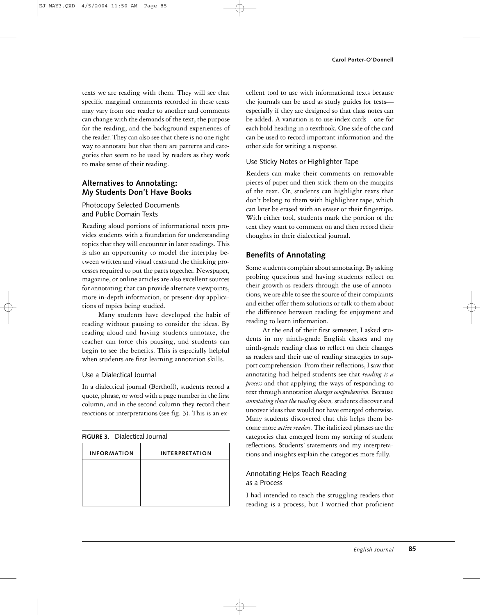texts we are reading with them. They will see that specific marginal comments recorded in these texts may vary from one reader to another and comments can change with the demands of the text, the purpose for the reading, and the background experiences of the reader. They can also see that there is no one right way to annotate but that there are patterns and categories that seem to be used by readers as they work to make sense of their reading.

## **Alternatives to Annotating: My Students Don't Have Books**

## Photocopy Selected Documents and Public Domain Texts

Reading aloud portions of informational texts provides students with a foundation for understanding topics that they will encounter in later readings. This is also an opportunity to model the interplay between written and visual texts and the thinking processes required to put the parts together. Newspaper, magazine, or online articles are also excellent sources for annotating that can provide alternate viewpoints, more in-depth information, or present-day applications of topics being studied.

Many students have developed the habit of reading without pausing to consider the ideas. By reading aloud and having students annotate, the teacher can force this pausing, and students can begin to see the benefits. This is especially helpful when students are first learning annotation skills.

## Use a Dialectical Journal

In a dialectical journal (Berthoff), students record a quote, phrase, or word with a page number in the first column, and in the second column they record their reactions or interpretations (see fig. 3). This is an ex-

| <b>FIGURE 3.</b> Dialectical Journal |  |
|--------------------------------------|--|
| <b>INTERPRETATION</b>                |  |
|                                      |  |
|                                      |  |
|                                      |  |
|                                      |  |

cellent tool to use with informational texts because the journals can be used as study guides for tests especially if they are designed so that class notes can be added. A variation is to use index cards—one for each bold heading in a textbook. One side of the card can be used to record important information and the other side for writing a response.

### Use Sticky Notes or Highlighter Tape

Readers can make their comments on removable pieces of paper and then stick them on the margins of the text. Or, students can highlight texts that don't belong to them with highlighter tape, which can later be erased with an eraser or their fingertips. With either tool, students mark the portion of the text they want to comment on and then record their thoughts in their dialectical journal.

# **Benefits of Annotating**

Some students complain about annotating. By asking probing questions and having students reflect on their growth as readers through the use of annotations, we are able to see the source of their complaints and either offer them solutions or talk to them about the difference between reading for enjoyment and reading to learn information.

At the end of their first semester, I asked students in my ninth-grade English classes and my ninth-grade reading class to reflect on their changes as readers and their use of reading strategies to support comprehension. From their reflections, I saw that annotating had helped students see that *reading is a process* and that applying the ways of responding to text through annotation *changes comprehension.* Because *annotating slows the reading down,* students discover and uncover ideas that would not have emerged otherwise. Many students discovered that this helps them become more *active readers.* The italicized phrases are the categories that emerged from my sorting of student reflections. Students' statements and my interpretations and insights explain the categories more fully.

## Annotating Helps Teach Reading as a Process

I had intended to teach the struggling readers that reading is a process, but I worried that proficient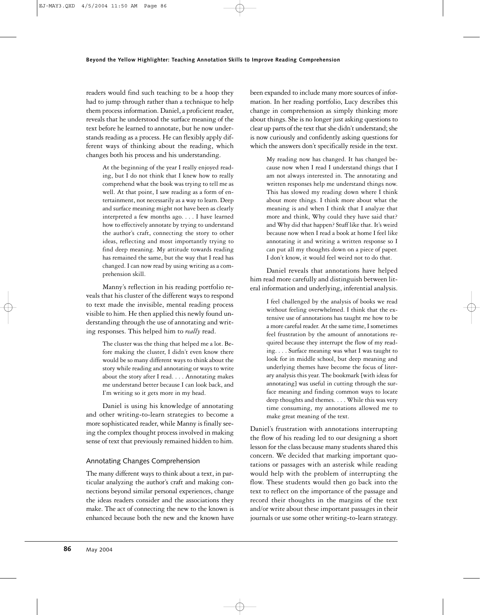readers would find such teaching to be a hoop they had to jump through rather than a technique to help them process information. Daniel, a proficient reader, reveals that he understood the surface meaning of the text before he learned to annotate, but he now understands reading as a process. He can flexibly apply different ways of thinking about the reading, which changes both his process and his understanding.

> At the beginning of the year I really enjoyed reading, but I do not think that I knew how to really comprehend what the book was trying to tell me as well. At that point, I saw reading as a form of entertainment, not necessarily as a way to learn. Deep and surface meaning might not have been as clearly interpreted a few months ago. . . . I have learned how to effectively annotate by trying to understand the author's craft, connecting the story to other ideas, reflecting and most importantly trying to find deep meaning. My attitude towards reading has remained the same, but the way that I read has changed. I can now read by using writing as a comprehension skill.

Manny's reflection in his reading portfolio reveals that his cluster of the different ways to respond to text made the invisible, mental reading process visible to him. He then applied this newly found understanding through the use of annotating and writing responses. This helped him to *really* read.

> The cluster was the thing that helped me a lot. Before making the cluster, I didn't even know there would be so many different ways to think about the story while reading and annotating or ways to write about the story after I read.... Annotating makes me understand better because I can look back, and I'm writing so it gets more in my head.

Daniel is using his knowledge of annotating and other writing-to-learn strategies to become a more sophisticated reader, while Manny is finally seeing the complex thought process involved in making sense of text that previously remained hidden to him.

# Annotating Changes Comprehension

The many different ways to think about a text, in particular analyzing the author's craft and making connections beyond similar personal experiences, change the ideas readers consider and the associations they make. The act of connecting the new to the known is enhanced because both the new and the known have been expanded to include many more sources of information. In her reading portfolio, Lucy describes this change in comprehension as simply thinking more about things. She is no longer just asking questions to clear up parts of the text that she didn't understand; she is now curiously and confidently asking questions for which the answers don't specifically reside in the text.

> My reading now has changed. It has changed because now when I read I understand things that I am not always interested in. The annotating and written responses help me understand things now. This has slowed my reading down where I think about more things. I think more about what the meaning is and when I think that I analyze that more and think, Why could they have said that? and Why did that happen? Stuff like that. It's weird because now when I read a book at home I feel like annotating it and writing a written response so I can put all my thoughts down on a piece of paper. I don't know, it would feel weird not to do that.

Daniel reveals that annotations have helped him read more carefully and distinguish between literal information and underlying, inferential analysis.

> I feel challenged by the analysis of books we read without feeling overwhelmed. I think that the extensive use of annotations has taught me how to be a more careful reader. At the same time, I sometimes feel frustration by the amount of annotations required because they interrupt the flow of my reading. . . . Surface meaning was what I was taught to look for in middle school, but deep meaning and underlying themes have become the focus of literary analysis this year. The bookmark [with ideas for annotating] was useful in cutting through the surface meaning and finding common ways to locate deep thoughts and themes.... While this was very time consuming, my annotations allowed me to make great meaning of the text.

Daniel's frustration with annotations interrupting the flow of his reading led to our designing a short lesson for the class because many students shared this concern. We decided that marking important quotations or passages with an asterisk while reading would help with the problem of interrupting the flow. These students would then go back into the text to reflect on the importance of the passage and record their thoughts in the margins of the text and/or write about these important passages in their journals or use some other writing-to-learn strategy.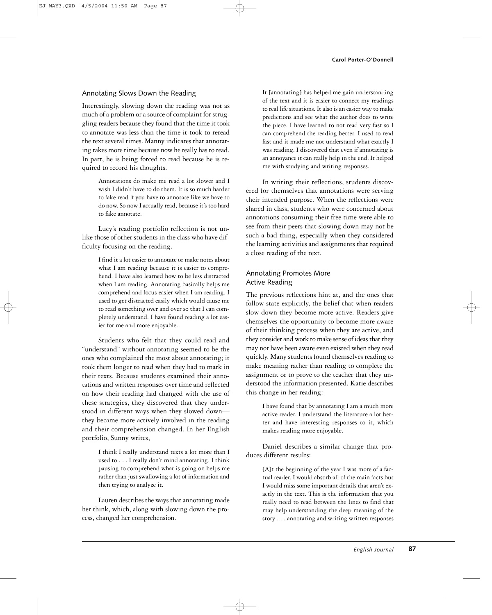## Annotating Slows Down the Reading

Interestingly, slowing down the reading was not as much of a problem or a source of complaint for struggling readers because they found that the time it took to annotate was less than the time it took to reread the text several times. Manny indicates that annotating takes more time because now he really has to read. In part, he is being forced to read because he is required to record his thoughts.

> Annotations do make me read a lot slower and I wish I didn't have to do them. It is so much harder to fake read if you have to annotate like we have to do now. So now I actually read, because it's too hard to fake annotate.

Lucy's reading portfolio reflection is not unlike those of other students in the class who have difficulty focusing on the reading.

> I find it a lot easier to annotate or make notes about what I am reading because it is easier to comprehend. I have also learned how to be less distracted when I am reading. Annotating basically helps me comprehend and focus easier when I am reading. I used to get distracted easily which would cause me to read something over and over so that I can completely understand. I have found reading a lot easier for me and more enjoyable.

Students who felt that they could read and "understand" without annotating seemed to be the ones who complained the most about annotating; it took them longer to read when they had to mark in their texts. Because students examined their annotations and written responses over time and reflected on how their reading had changed with the use of these strategies, they discovered that they understood in different ways when they slowed down they became more actively involved in the reading and their comprehension changed. In her English portfolio, Sunny writes,

> I think I really understand texts a lot more than I used to . . . I really don't mind annotating. I think pausing to comprehend what is going on helps me rather than just swallowing a lot of information and then trying to analyze it.

Lauren describes the ways that annotating made her think, which, along with slowing down the process, changed her comprehension.

It [annotating] has helped me gain understanding of the text and it is easier to connect my readings to real life situations. It also is an easier way to make predictions and see what the author does to write the piece. I have learned to not read very fast so I can comprehend the reading better. I used to read fast and it made me not understand what exactly I was reading. I discovered that even if annotating is an annoyance it can really help in the end. It helped me with studying and writing responses.

In writing their reflections, students discovered for themselves that annotations were serving their intended purpose. When the reflections were shared in class, students who were concerned about annotations consuming their free time were able to see from their peers that slowing down may not be such a bad thing, especially when they considered the learning activities and assignments that required a close reading of the text.

## Annotating Promotes More Active Reading

The previous reflections hint at, and the ones that follow state explicitly, the belief that when readers slow down they become more active. Readers give themselves the opportunity to become more aware of their thinking process when they are active, and they consider and work to make sense of ideas that they may not have been aware even existed when they read quickly. Many students found themselves reading to make meaning rather than reading to complete the assignment or to prove to the teacher that they understood the information presented. Katie describes this change in her reading:

> I have found that by annotating I am a much more active reader. I understand the literature a lot better and have interesting responses to it, which makes reading more enjoyable.

Daniel describes a similar change that produces different results:

> [A]t the beginning of the year I was more of a factual reader. I would absorb all of the main facts but I would miss some important details that aren't exactly in the text. This is the information that you really need to read between the lines to find that may help understanding the deep meaning of the story . . . annotating and writing written responses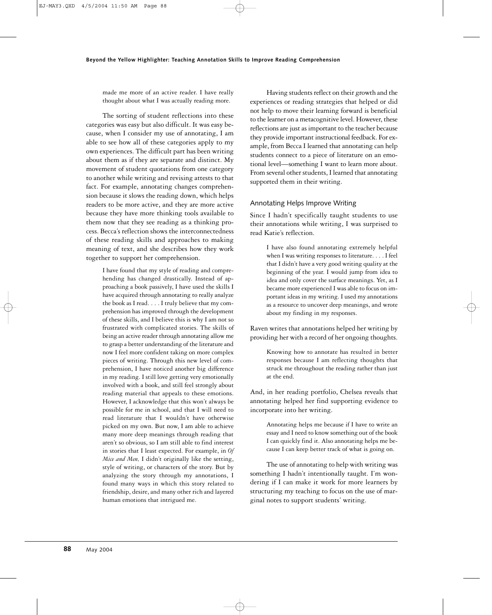made me more of an active reader. I have really thought about what I was actually reading more.

The sorting of student reflections into these categories was easy but also difficult. It was easy because, when I consider my use of annotating, I am able to see how all of these categories apply to my own experiences. The difficult part has been writing about them as if they are separate and distinct. My movement of student quotations from one category to another while writing and revising attests to that fact. For example, annotating changes comprehension because it slows the reading down, which helps readers to be more active, and they are more active because they have more thinking tools available to them now that they see reading as a thinking process. Becca's reflection shows the interconnectedness of these reading skills and approaches to making meaning of text, and she describes how they work together to support her comprehension.

> I have found that my style of reading and comprehending has changed drastically. Instead of approaching a book passively, I have used the skills I have acquired through annotating to really analyze the book as I read. . . . I truly believe that my comprehension has improved through the development of these skills, and I believe this is why I am not so frustrated with complicated stories. The skills of being an active reader through annotating allow me to grasp a better understanding of the literature and now I feel more confident taking on more complex pieces of writing. Through this new level of comprehension, I have noticed another big difference in my reading. I still love getting very emotionally involved with a book, and still feel strongly about reading material that appeals to these emotions. However, I acknowledge that this won't always be possible for me in school, and that I will need to read literature that I wouldn't have otherwise picked on my own. But now, I am able to achieve many more deep meanings through reading that aren't so obvious, so I am still able to find interest in stories that I least expected. For example, in *Of Mice and Men,* I didn't originally like the setting, style of writing, or characters of the story. But by analyzing the story through my annotations, I found many ways in which this story related to friendship, desire, and many other rich and layered human emotions that intrigued me.

Having students reflect on their growth and the experiences or reading strategies that helped or did not help to move their learning forward is beneficial to the learner on a metacognitive level. However, these reflections are just as important to the teacher because they provide important instructional feedback. For example, from Becca I learned that annotating can help students connect to a piece of literature on an emotional level—something I want to learn more about. From several other students, I learned that annotating supported them in their writing.

#### Annotating Helps Improve Writing

Since I hadn't specifically taught students to use their annotations while writing, I was surprised to read Katie's reflection.

> I have also found annotating extremely helpful when I was writing responses to literature. . . . I feel that I didn't have a very good writing quality at the beginning of the year. I would jump from idea to idea and only cover the surface meanings. Yet, as I became more experienced I was able to focus on important ideas in my writing. I used my annotations as a resource to uncover deep meanings, and wrote about my finding in my responses.

Raven writes that annotations helped her writing by providing her with a record of her ongoing thoughts.

> Knowing how to annotate has resulted in better responses because I am reflecting thoughts that struck me throughout the reading rather than just at the end.

And, in her reading portfolio, Chelsea reveals that annotating helped her find supporting evidence to incorporate into her writing.

> Annotating helps me because if I have to write an essay and I need to know something out of the book I can quickly find it. Also annotating helps me because I can keep better track of what is going on.

The use of annotating to help with writing was something I hadn't intentionally taught. I'm wondering if I can make it work for more learners by structuring my teaching to focus on the use of marginal notes to support students' writing.